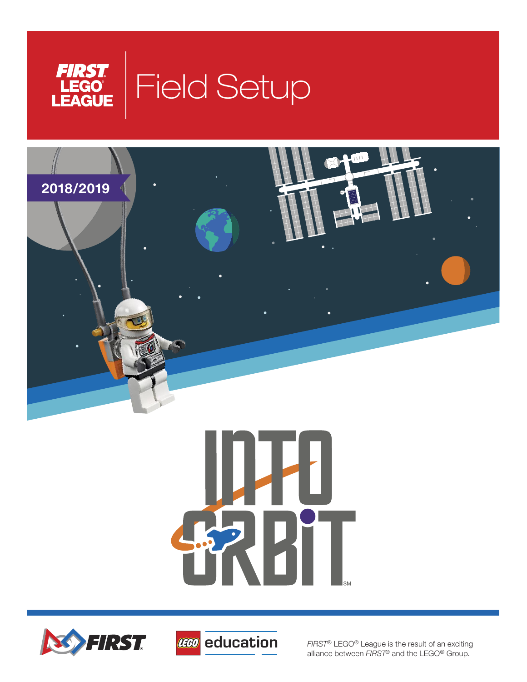









*FIRST®* LEGO® League is the result of an exciting alliance between *FIRST*® and the LEGO® Group.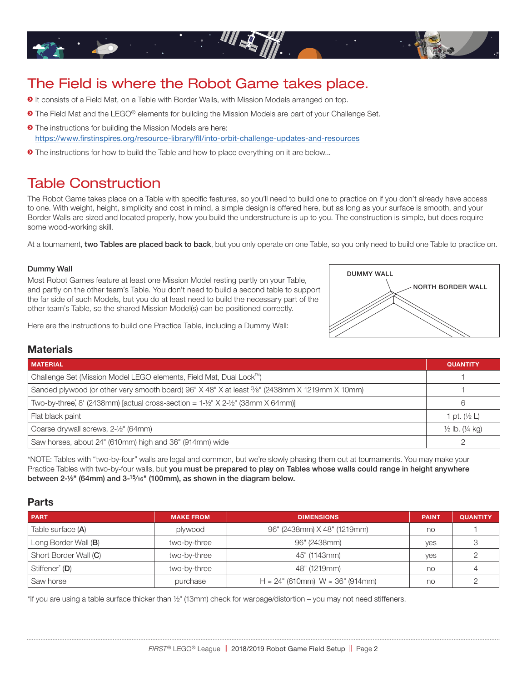

# The Field is where the Robot Game takes place.

- $\odot$  It consists of a Field Mat, on a Table with Border Walls, with Mission Models arranged on top.
- **The Field Mat and the LEGO® elements for building the Mission Models are part of your Challenge Set.**
- $\bullet$  The instructions for building the Mission Models are here: <https://www.firstinspires.org/resource-library/fll/into-orbit-challenge-updates-and-resources>
- $\bullet$  The instructions for how to build the Table and how to place everything on it are below...

# Table Construction

The Robot Game takes place on a Table with specific features, so you'll need to build one to practice on if you don't already have access to one. With weight, height, simplicity and cost in mind, a simple design is offered here, but as long as your surface is smooth, and your Border Walls are sized and located properly, how you build the understructure is up to you. The construction is simple, but does require some wood-working skill.

At a tournament, two Tables are placed back to back, but you only operate on one Table, so you only need to build one Table to practice on.

#### Dummy Wall

Most Robot Games feature at least one Mission Model resting partly on your Table, and partly on the other team's Table. You don't need to build a second table to support the far side of such Models, but you do at least need to build the necessary part of the other team's Table, so the shared Mission Model(s) can be positioned correctly.

Here are the instructions to build one Practice Table, including a Dummy Wall:



### **Materials**

| <b>MATERIAL</b>                                                                                | <b>QUANTITY</b>            |
|------------------------------------------------------------------------------------------------|----------------------------|
| Challenge Set (Mission Model LEGO elements, Field Mat, Dual Lock™)                             |                            |
| Sanded plywood (or other very smooth board) 96" X 48" X at least 3/8" (2438mm X 1219mm X 10mm) |                            |
| Two-by-three, 8' (2438mm) [actual cross-section = $1\text{-}1/2$ " X 2- $1/2$ " (38mm X 64mm)] |                            |
| Flat black paint                                                                               | pt. $(\frac{1}{2}L)$       |
| Coarse drywall screws, 2-1/2" (64mm)                                                           | $\frac{1}{2}$ lb. (1/4 kg) |
| Saw horses, about 24" (610mm) high and 36" (914mm) wide                                        |                            |

\*NOTE: Tables with "two-by-four" walls are legal and common, but we're slowly phasing them out at tournaments. You may make your Practice Tables with two-by-four walls, but you must be prepared to play on Tables whose walls could range in height anywhere between 2-½" (64mm) and 3-15⁄16" (100mm), as shown in the diagram below.

### **Parts**

| <b>PART</b>                | <b>MAKE FROM</b> | <b>DIMENSIONS</b>                                 | <b>PAINT</b> | <b>QUANTITY</b> |
|----------------------------|------------------|---------------------------------------------------|--------------|-----------------|
| Table surface (A)          | plywood          | 96" (2438mm) X 48" (1219mm)                       | no           |                 |
| Long Border Wall (B)       | two-by-three     | 96" (2438mm)                                      | yes          |                 |
| Short Border Wall (C)      | two-by-three     | 45" (1143mm)                                      | yes          |                 |
| Stiffener <sup>*</sup> (D) | two-by-three     | 48" (1219mm)                                      | no           |                 |
| Saw horse                  | purchase         | $H \approx 24$ " (610mm) W $\approx 36$ " (914mm) | no           |                 |

\*If you are using a table surface thicker than ½" (13mm) check for warpage/distortion – you may not need stiffeners.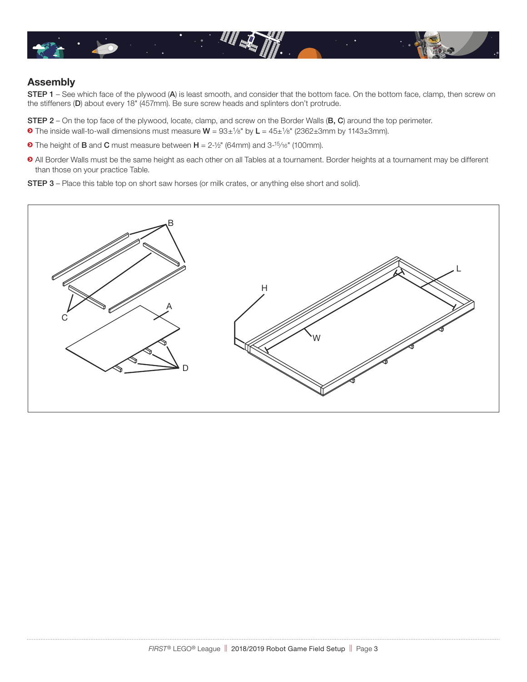

## **Assembly**

STEP 1 – See which face of the plywood (A) is least smooth, and consider that the bottom face. On the bottom face, clamp, then screw on the stiffeners (D) about every 18" (457mm). Be sure screw heads and splinters don't protrude.

STEP 2 – On the top face of the plywood, locate, clamp, and screw on the Border Walls (B, C) around the top perimeter.

- $\bullet$  The inside wall-to-wall dimensions must measure  $W = 93 \pm \frac{1}{8}$ " by  $L = 45 \pm \frac{1}{8}$ " (2362 $\pm$ 3mm by 1143 $\pm$ 3mm).
- $\bullet$  The height of **B** and **C** must measure between  $H = 2\frac{1}{2}$ " (64mm) and 3-<sup>15</sup>/16" (100mm).
- ĥ All Border Walls must be the same height as each other on all Tables at a tournament. Border heights at a tournament may be different than those on your practice Table.

STEP 3 – Place this table top on short saw horses (or milk crates, or anything else short and solid).

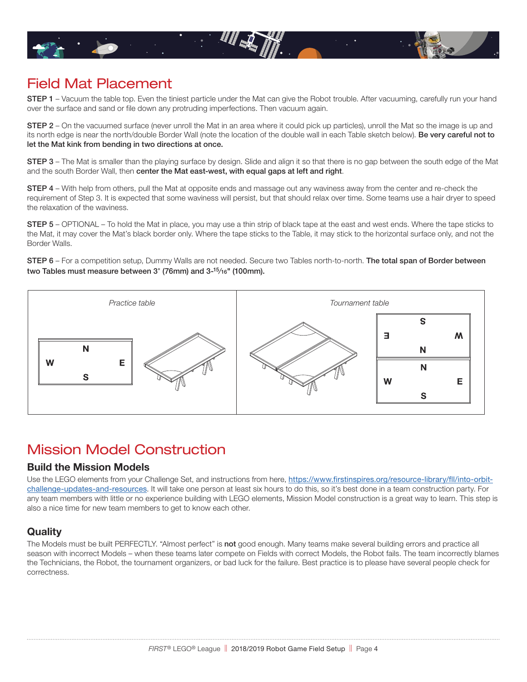

# Field Mat Placement

STEP 1 - Vacuum the table top. Even the tiniest particle under the Mat can give the Robot trouble. After vacuuming, carefully run your hand over the surface and sand or file down any protruding imperfections. Then vacuum again.

STEP 2 – On the vacuumed surface (never unroll the Mat in an area where it could pick up particles), unroll the Mat so the image is up and its north edge is near the north/double Border Wall (note the location of the double wall in each Table sketch below). Be very careful not to let the Mat kink from bending in two directions at once.

STEP 3 – The Mat is smaller than the playing surface by design. Slide and align it so that there is no gap between the south edge of the Mat and the south Border Wall, then center the Mat east-west, with equal gaps at left and right.

STEP 4 – With help from others, pull the Mat at opposite ends and massage out any waviness away from the center and re-check the requirement of Step 3. It is expected that some waviness will persist, but that should relax over time. Some teams use a hair dryer to speed the relaxation of the waviness.

STEP 5 – OPTIONAL – To hold the Mat in place, you may use a thin strip of black tape at the east and west ends. Where the tape sticks to the Mat, it may cover the Mat's black border only. Where the tape sticks to the Table, it may stick to the horizontal surface only, and not the Border Walls.

STEP 6 - For a competition setup, Dummy Walls are not needed. Secure two Tables north-to-north. The total span of Border between two Tables must measure between 3" (76mm) and 3-15⁄16" (100mm).



# Mission Model Construction

### **Build the Mission Models**

Use the LEGO elements from your Challenge Set, and instructions from here, [https://www.firstinspires.org/resource-library/fll/into-orbit](https://www.firstinspires.org/resource-library/fll/into-orbit-challenge-updates-and-resources)[challenge-updates-and-resources](https://www.firstinspires.org/resource-library/fll/into-orbit-challenge-updates-and-resources). It will take one person at least six hours to do this, so it's best done in a team construction party. For any team members with little or no experience building with LEGO elements, Mission Model construction is a great way to learn. This step is also a nice time for new team members to get to know each other.

# **Quality**

The Models must be built PERFECTLY. "Almost perfect" is not good enough. Many teams make several building errors and practice all season with incorrect Models – when these teams later compete on Fields with correct Models, the Robot fails. The team incorrectly blames the Technicians, the Robot, the tournament organizers, or bad luck for the failure. Best practice is to please have several people check for correctness.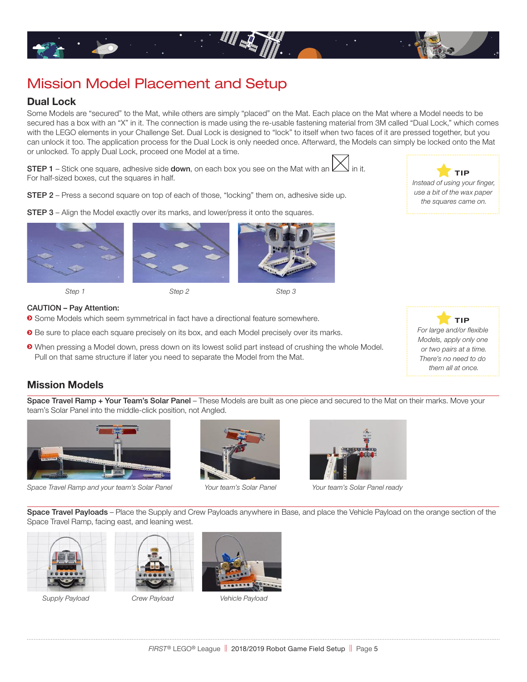

# Mission Model Placement and Setup

### **Dual Lock**

Some Models are "secured" to the Mat, while others are simply "placed" on the Mat. Each place on the Mat where a Model needs to be secured has a box with an "X" in it. The connection is made using the re-usable fastening material from 3M called "Dual Lock," which comes with the LEGO elements in your Challenge Set. Dual Lock is designed to "lock" to itself when two faces of it are pressed together, but you can unlock it too. The application process for the Dual Lock is only needed once. Afterward, the Models can simply be locked onto the Mat or unlocked. To apply Dual Lock, proceed one Model at a time.

STEP 1 - Stick one square, adhesive side down, on each box you see on the Mat with a For half-sized boxes, cut the squares in half.

STEP 2 – Press a second square on top of each of those, "locking" them on, adhesive side up.

**STEP 3** – Align the Model exactly over its marks, and lower/press it onto the squares.





*Step 1 Step 2 Step 3* 

#### CAUTION – Pay Attention:

- $\bullet$  Some Models which seem symmetrical in fact have a directional feature somewhere.
- $\bullet$  Be sure to place each square precisely on its box, and each Model precisely over its marks.
- $\bullet$  When pressing a Model down, press down on its lowest solid part instead of crushing the whole Model. Pull on that same structure if later you need to separate the Model from the Mat.



Space Travel Ramp + Your Team's Solar Panel - These Models are built as one piece and secured to the Mat on their marks. Move your team's Solar Panel into the middle-click position, not Angled.



*Space Travel Ramp and your team's Solar Panel Your team's Solar Panel Your team's Solar Panel ready*





Space Travel Payloads – Place the Supply and Crew Payloads anywhere in Base, and place the Vehicle Payload on the orange section of the Space Travel Ramp, facing east, and leaning west.



*Supply Payload Crew Payload Vehicle Payload* 







 **T IP** *Instead of using your finger, use a bit of the wax paper the squares came on.*

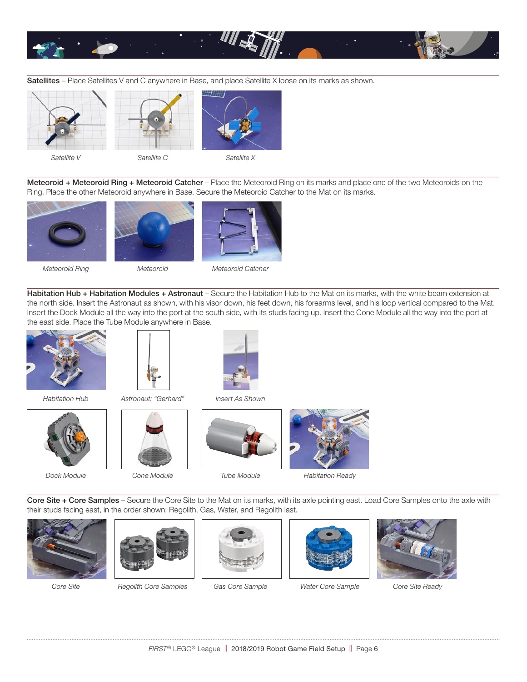

Satellites – Place Satellites V and C anywhere in Base, and place Satellite X loose on its marks as shown.





*Satellite V Satellite C Satellite X*



Meteoroid + Meteoroid Ring + Meteoroid Catcher – Place the Meteoroid Ring on its marks and place one of the two Meteoroids on the Ring. Place the other Meteoroid anywhere in Base. Secure the Meteoroid Catcher to the Mat on its marks.







*Meteoroid Ring Meteoroid Meteoroid Catcher*

Habitation Hub + Habitation Modules + Astronaut - Secure the Habitation Hub to the Mat on its marks, with the white beam extension at the north side. Insert the Astronaut as shown, with his visor down, his feet down, his forearms level, and his loop vertical compared to the Mat. Insert the Dock Module all the way into the port at the south side, with its studs facing up. Insert the Cone Module all the way into the port at the east side. Place the Tube Module anywhere in Base.













Core Site + Core Samples – Secure the Core Site to the Mat on its marks, with its axle pointing east. Load Core Samples onto the axle with their studs facing east, in the order shown: Regolith, Gas, Water, and Regolith last.





*Core Site Regolith Core Samples Gas Core Sample Water Core Sample Core Site Ready*





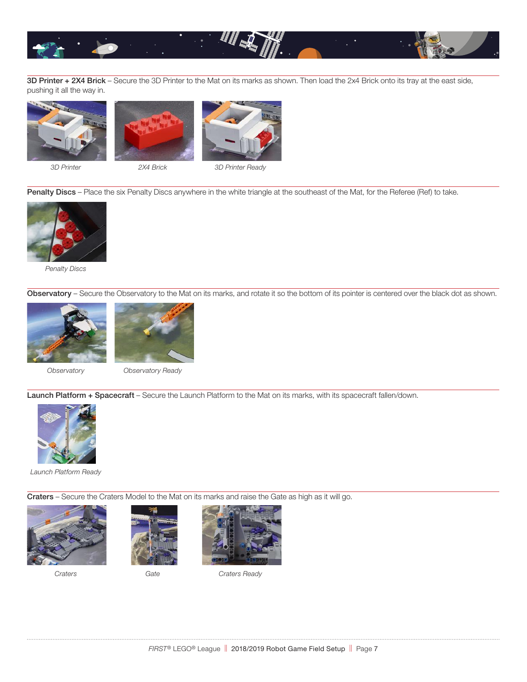

3D Printer + 2X4 Brick – Secure the 3D Printer to the Mat on its marks as shown. Then load the 2x4 Brick onto its tray at the east side, pushing it all the way in.







*3D Printer 2X4 Brick 3D Printer Ready*

Penalty Discs – Place the six Penalty Discs anywhere in the white triangle at the southeast of the Mat, for the Referee (Ref) to take.



*Penalty Discs*

Observatory - Secure the Observatory to the Mat on its marks, and rotate it so the bottom of its pointer is centered over the black dot as shown.





*Observatory Observatory Ready* 

Launch Platform + Spacecraft – Secure the Launch Platform to the Mat on its marks, with its spacecraft fallen/down.



*Launch Platform Ready*

Craters – Secure the Craters Model to the Mat on its marks and raise the Gate as high as it will go.





*Craters Gate Craters Ready*



. . . . . . . . . . . . .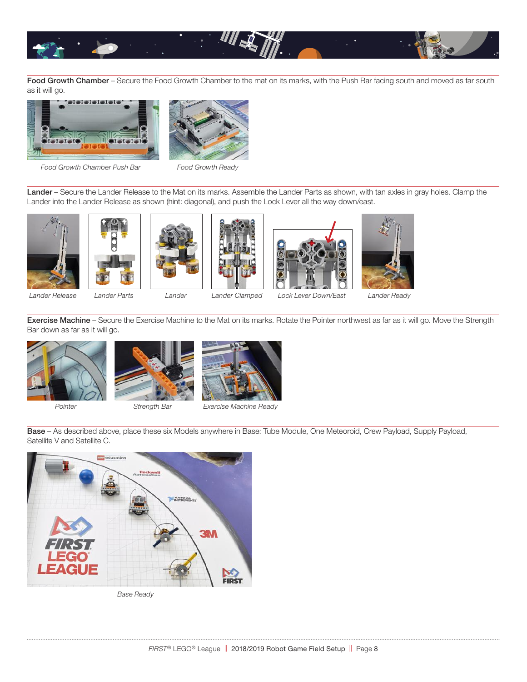

Food Growth Chamber – Secure the Food Growth Chamber to the mat on its marks, with the Push Bar facing south and moved as far south as it will go.





*Food Growth Chamber Push Bar Food Growth Ready*

Lander – Secure the Lander Release to the Mat on its marks. Assemble the Lander Parts as shown, with tan axles in gray holes. Clamp the Lander into the Lander Release as shown (hint: diagonal), and push the Lock Lever all the way down/east.











*Lander Release Lander Parts Lander Lander Clamped Lock Lever Down/East Lander Ready*

Exercise Machine – Secure the Exercise Machine to the Mat on its marks. Rotate the Pointer northwest as far as it will go. Move the Strength Bar down as far as it will go.









*Pointer Strength Bar Exercise Machine Ready* 

Base – As described above, place these six Models anywhere in Base: Tube Module, One Meteoroid, Crew Payload, Supply Payload, Satellite V and Satellite C.



*Base Ready*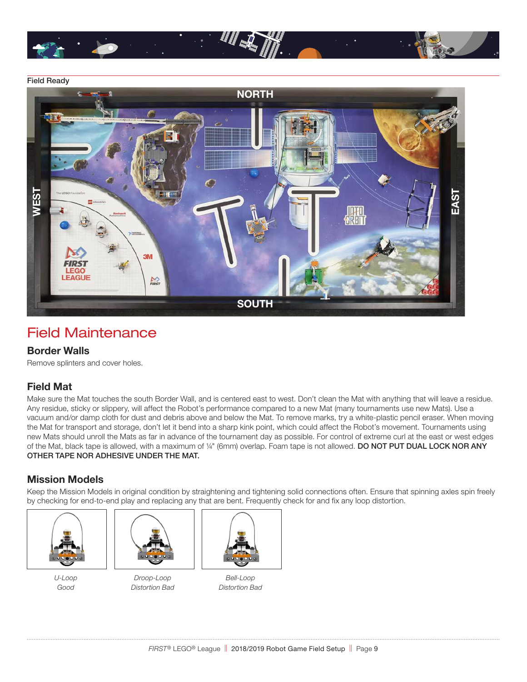

### Field Ready



# Field Maintenance

### **Border Walls**

Remove splinters and cover holes.

# **Field Mat**

Make sure the Mat touches the south Border Wall, and is centered east to west. Don't clean the Mat with anything that will leave a residue. Any residue, sticky or slippery, will affect the Robot's performance compared to a new Mat (many tournaments use new Mats). Use a vacuum and/or damp cloth for dust and debris above and below the Mat. To remove marks, try a white-plastic pencil eraser. When moving the Mat for transport and storage, don't let it bend into a sharp kink point, which could affect the Robot's movement. Tournaments using new Mats should unroll the Mats as far in advance of the tournament day as possible. For control of extreme curl at the east or west edges of the Mat, black tape is allowed, with a maximum of 1/4" (6mm) overlap. Foam tape is not allowed. DO NOT PUT DUAL LOCK NOR ANY OTHER TAPE NOR ADHESIVE UNDER THE MAT.

## **Mission Models**

Keep the Mission Models in original condition by straightening and tightening solid connections often. Ensure that spinning axles spin freely by checking for end-to-end play and replacing any that are bent. Frequently check for and fix any loop distortion.





*U-Loop Droop-Loop Bell-Loop Good Distortion Bad Distortion Bad*